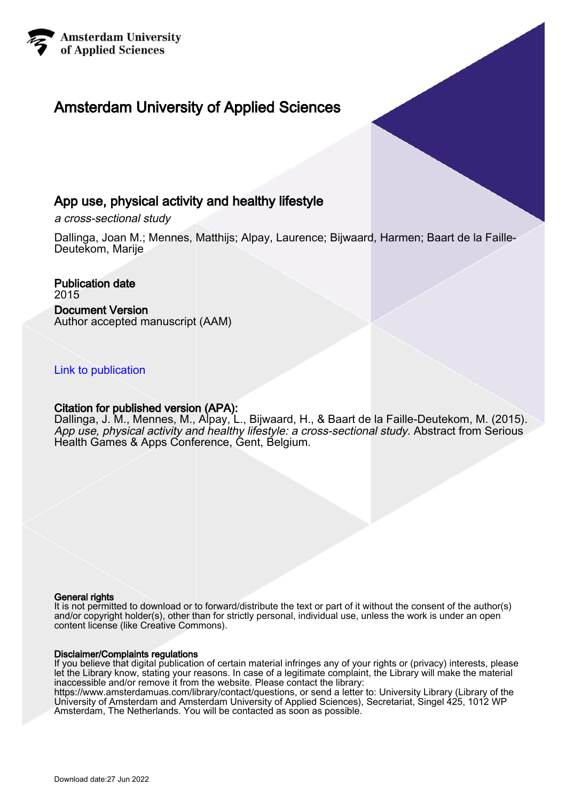

# Amsterdam University of Applied Sciences

# App use, physical activity and healthy lifestyle

a cross-sectional study

Dallinga, Joan M.; Mennes, Matthijs; Alpay, Laurence; Bijwaard, Harmen; Baart de la Faille-Deutekom, Marije

Publication date 2015 Document Version Author accepted manuscript (AAM)

# [Link to publication](https://research.hva.nl/en/publications/5717743f-6440-40d4-99a9-686cadbedf48)

## Citation for published version (APA):

Dallinga, J. M., Mennes, M., Alpay, L., Bijwaard, H., & Baart de la Faille-Deutekom, M. (2015). App use, physical activity and healthy lifestyle: a cross-sectional study. Abstract from Serious Health Games & Apps Conference, Gent, Belgium.

#### General rights

It is not permitted to download or to forward/distribute the text or part of it without the consent of the author(s) and/or copyright holder(s), other than for strictly personal, individual use, unless the work is under an open content license (like Creative Commons).

#### Disclaimer/Complaints regulations

If you believe that digital publication of certain material infringes any of your rights or (privacy) interests, please let the Library know, stating your reasons. In case of a legitimate complaint, the Library will make the material inaccessible and/or remove it from the website. Please contact the library:

https://www.amsterdamuas.com/library/contact/questions, or send a letter to: University Library (Library of the University of Amsterdam and Amsterdam University of Applied Sciences), Secretariat, Singel 425, 1012 WP Amsterdam, The Netherlands. You will be contacted as soon as possible.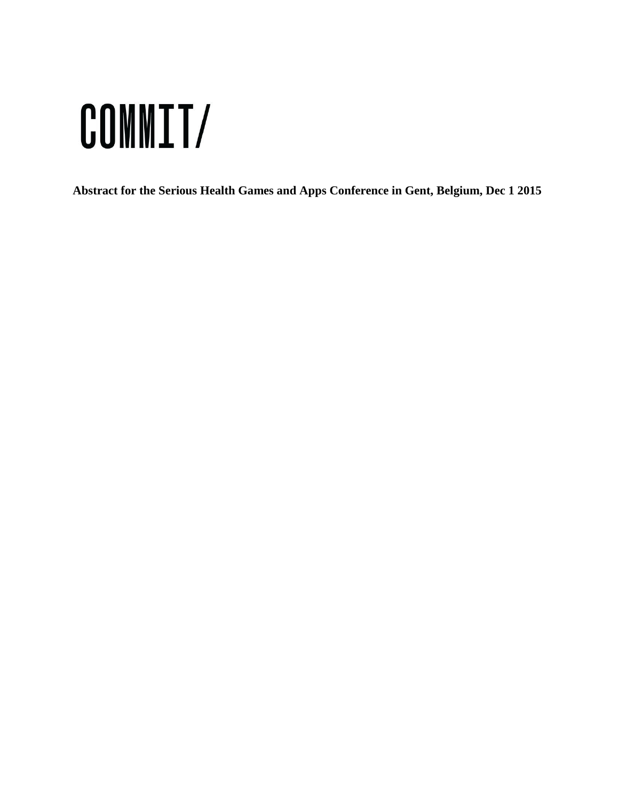# COMMIT/

**Abstract for the Serious Health Games and Apps Conference in Gent, Belgium, Dec 1 2015**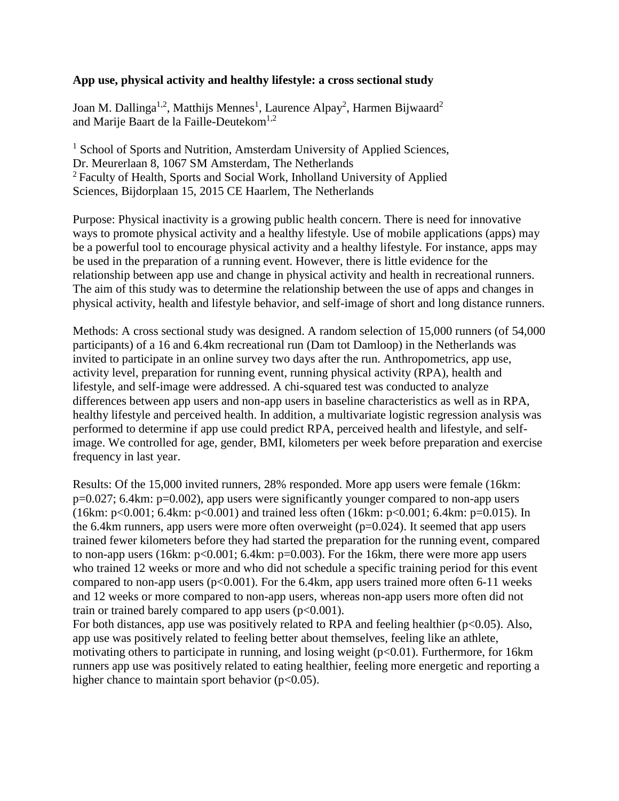## **App use, physical activity and healthy lifestyle: a cross sectional study**

Joan M. Dallinga<sup>1,2</sup>, Matthijs Mennes<sup>1</sup>, Laurence Alpay<sup>2</sup>, Harmen Bijwaard<sup>2</sup> and Marije Baart de la Faille-Deutekom<sup>1,2</sup>

<sup>1</sup> School of Sports and Nutrition, Amsterdam University of Applied Sciences, Dr. Meurerlaan 8, 1067 SM Amsterdam, The Netherlands <sup>2</sup> Faculty of Health, Sports and Social Work, Inholland University of Applied Sciences, Bijdorplaan 15, 2015 CE Haarlem, The Netherlands

Purpose: Physical inactivity is a growing public health concern. There is need for innovative ways to promote physical activity and a healthy lifestyle. Use of mobile applications (apps) may be a powerful tool to encourage physical activity and a healthy lifestyle. For instance, apps may be used in the preparation of a running event. However, there is little evidence for the relationship between app use and change in physical activity and health in recreational runners. The aim of this study was to determine the relationship between the use of apps and changes in physical activity, health and lifestyle behavior, and self-image of short and long distance runners.

Methods: A cross sectional study was designed. A random selection of 15,000 runners (of 54,000 participants) of a 16 and 6.4km recreational run (Dam tot Damloop) in the Netherlands was invited to participate in an online survey two days after the run. Anthropometrics, app use, activity level, preparation for running event, running physical activity (RPA), health and lifestyle, and self-image were addressed. A chi-squared test was conducted to analyze differences between app users and non-app users in baseline characteristics as well as in RPA, healthy lifestyle and perceived health. In addition, a multivariate logistic regression analysis was performed to determine if app use could predict RPA, perceived health and lifestyle, and selfimage. We controlled for age, gender, BMI, kilometers per week before preparation and exercise frequency in last year.

Results: Of the 15,000 invited runners, 28% responded. More app users were female (16km: p=0.027; 6.4km: p=0.002), app users were significantly younger compared to non-app users (16km: p<0.001; 6.4km: p<0.001) and trained less often (16km: p<0.001; 6.4km: p=0.015). In the 6.4km runners, app users were more often overweight ( $p=0.024$ ). It seemed that app users trained fewer kilometers before they had started the preparation for the running event, compared to non-app users (16km:  $p<0.001$ ; 6.4km:  $p=0.003$ ). For the 16km, there were more app users who trained 12 weeks or more and who did not schedule a specific training period for this event compared to non-app users ( $p<0.001$ ). For the 6.4km, app users trained more often 6-11 weeks and 12 weeks or more compared to non-app users, whereas non-app users more often did not train or trained barely compared to app users  $(p<0.001)$ .

For both distances, app use was positively related to RPA and feeling healthier ( $p<0.05$ ). Also, app use was positively related to feeling better about themselves, feeling like an athlete, motivating others to participate in running, and losing weight (p<0.01). Furthermore, for 16km runners app use was positively related to eating healthier, feeling more energetic and reporting a higher chance to maintain sport behavior  $(p<0.05)$ .